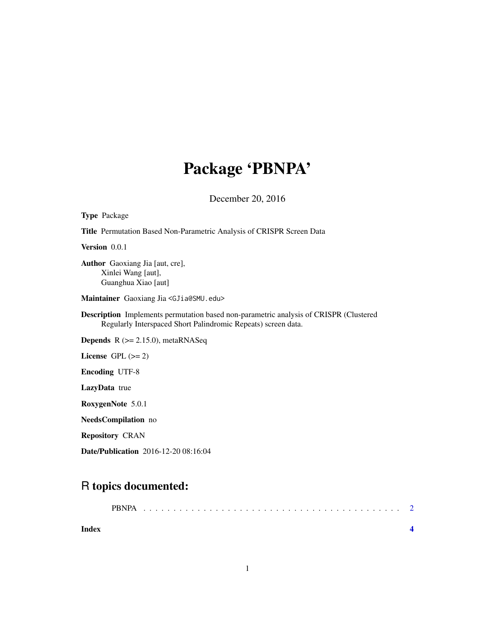## Package 'PBNPA'

December 20, 2016

| <b>Title</b> Permutation Based Non-Parametric Analysis of CRISPR Screen Data                                                                                  |
|---------------------------------------------------------------------------------------------------------------------------------------------------------------|
| Version 0.0.1                                                                                                                                                 |
| <b>Author</b> Gaoxiang Jia [aut, cre],<br>Xinlei Wang [aut],<br>Guanghua Xiao [aut]                                                                           |
| Maintainer Gaoxiang Jia <gjia@smu.edu></gjia@smu.edu>                                                                                                         |
| <b>Description</b> Implements permutation based non-parametric analysis of CRISPR (Clustered<br>Regularly Interspaced Short Palindromic Repeats) screen data. |
| <b>Depends</b> $R$ ( $>= 2.15.0$ ), metaRNASeq                                                                                                                |
| License $GPL (= 2)$                                                                                                                                           |
| <b>Encoding UTF-8</b>                                                                                                                                         |
| <b>LazyData</b> true                                                                                                                                          |
| RoxygenNote 5.0.1                                                                                                                                             |
| NeedsCompilation no                                                                                                                                           |
| <b>Repository CRAN</b>                                                                                                                                        |
| Date/Publication 2016-12-20 08:16:04                                                                                                                          |

### R topics documented:

Type Package

| Index |  |  |  |  |  |  |  |  |  |  |  |  |  |  |  |  |
|-------|--|--|--|--|--|--|--|--|--|--|--|--|--|--|--|--|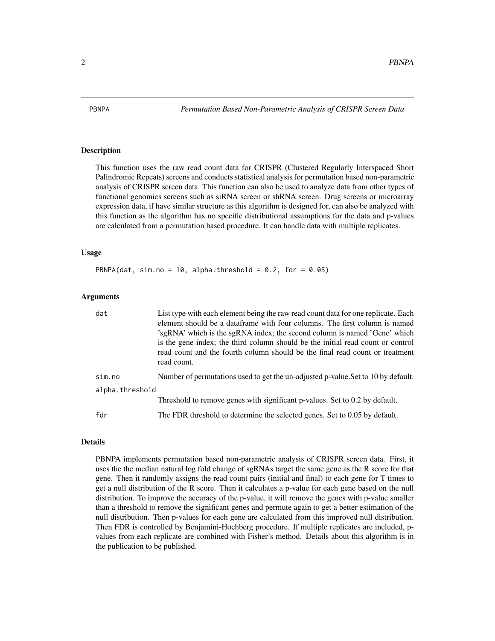<span id="page-1-0"></span>

#### Description

This function uses the raw read count data for CRISPR (Clustered Regularly Interspaced Short Palindromic Repeats) screens and conducts statistical analysis for permutation based non-parametric analysis of CRISPR screen data. This function can also be used to analyze data from other types of functional genomics screens such as siRNA screen or shRNA screen. Drug screens or microarray expression data, if have similar structure as this algorithm is designed for, can also be analyzed with this function as the algorithm has no specific distributional assumptions for the data and p-values are calculated from a permutation based procedure. It can handle data with multiple replicates.

#### Usage

PBNPA(dat, sim.no = 10, alpha.threshold =  $0.2$ , fdr =  $0.05$ )

#### Arguments

| dat             | List type with each element being the raw read count data for one replicate. Each<br>element should be a dataframe with four columns. The first column is named<br>'sgRNA' which is the sgRNA index; the second column is named 'Gene' which<br>is the gene index; the third column should be the initial read count or control<br>read count and the fourth column should be the final read count or treatment<br>read count. |
|-----------------|--------------------------------------------------------------------------------------------------------------------------------------------------------------------------------------------------------------------------------------------------------------------------------------------------------------------------------------------------------------------------------------------------------------------------------|
| sim.n           | Number of permutations used to get the un-adjusted p-value. Set to 10 by default.                                                                                                                                                                                                                                                                                                                                              |
| alpha.threshold |                                                                                                                                                                                                                                                                                                                                                                                                                                |
|                 | Threshold to remove genes with significant p-values. Set to 0.2 by default.                                                                                                                                                                                                                                                                                                                                                    |
| fdr             | The FDR threshold to determine the selected genes. Set to 0.05 by default.                                                                                                                                                                                                                                                                                                                                                     |

#### Details

PBNPA implements permutation based non-parametric analysis of CRISPR screen data. First, it uses the the median natural log fold change of sgRNAs target the same gene as the R score for that gene. Then it randomly assigns the read count pairs (initial and final) to each gene for T times to get a null distribution of the R score. Then it calculates a p-value for each gene based on the null distribution. To improve the accuracy of the p-value, it will remove the genes with p-value smaller than a threshold to remove the significant genes and permute again to get a better estimation of the null distribution. Then p-values for each gene are calculated from this improved null distribution. Then FDR is controlled by Benjamini-Hochberg procedure. If multiple replicates are included, pvalues from each replicate are combined with Fisher's method. Details about this algorithm is in the publication to be published.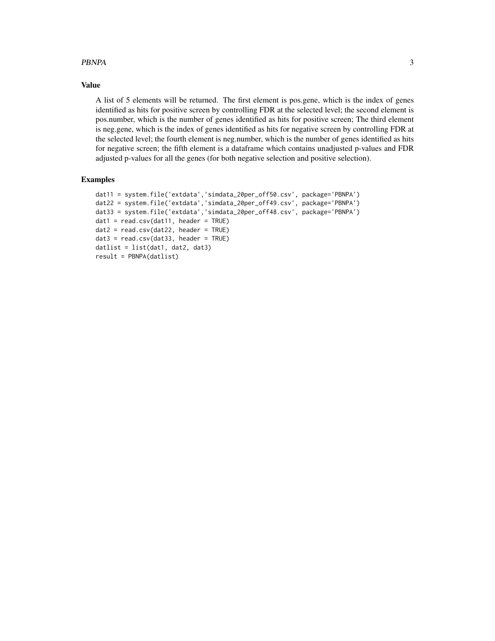#### PBNPA 3

#### Value

A list of 5 elements will be returned. The first element is pos.gene, which is the index of genes identified as hits for positive screen by controlling FDR at the selected level; the second element is pos.number, which is the number of genes identified as hits for positive screen; The third element is neg.gene, which is the index of genes identified as hits for negative screen by controlling FDR at the selected level; the fourth element is neg.number, which is the number of genes identified as hits for negative screen; the fifth element is a dataframe which contains unadjusted p-values and FDR adjusted p-values for all the genes (for both negative selection and positive selection).

#### Examples

```
dat11 = system.file('extdata','simdata_20per_off50.csv', package='PBNPA')
dat22 = system.file('extdata','simdata_20per_off49.csv', package='PBNPA')
dat33 = system.file('extdata','simdata_20per_off48.csv', package='PBNPA')
dat1 = read.csv(data11, header = TRUE)dat2 = read.csv(data22, header = TRUE)data = read.csv(data33, header = TRUE)datlist = list(data1, data2, data3)result = PBNPA(datlist)
```